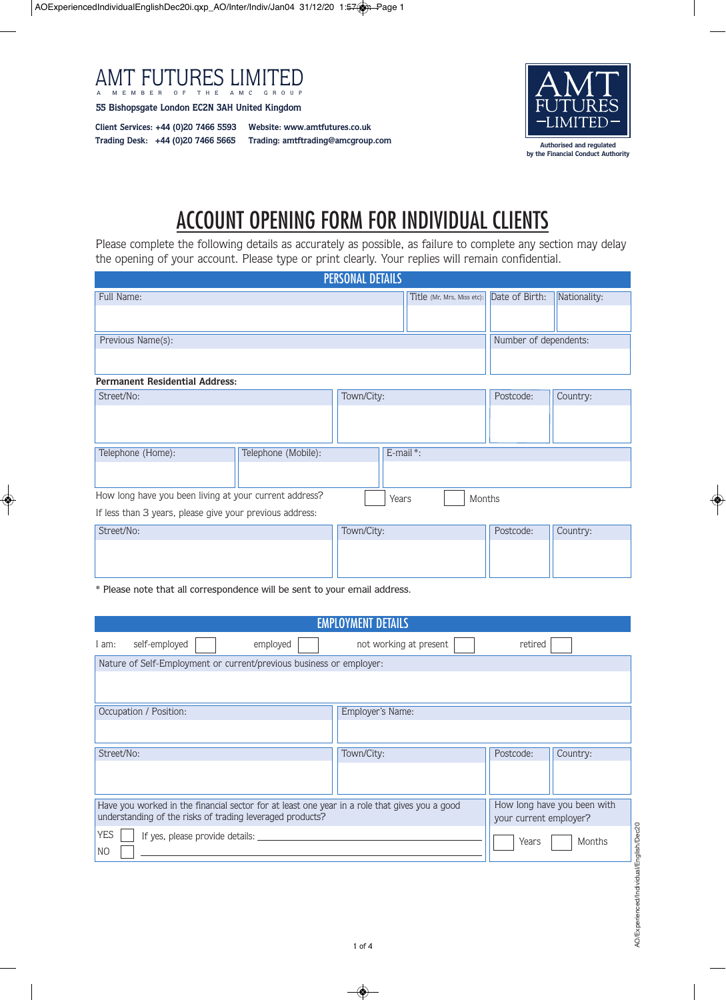

**55 Bishopsgate London EC2N 3AH United Kingdom**

**Client Services: +44 (0)20 7466 5593 Website: www.amtfutures.co.uk Trading Desk: +44 (0)20 7466 5665**

**Trading: amtftrading@amcgroup.com**



## ACCOUNT OPENING FORM FOR INDIVIDUAL CLIENTS

Please complete the following details as accurately as possible, as failure to complete any section may delay the opening of your account. Please type or print clearly. Your replies will remain confidential.

| <b>PERSONAL DETAILS</b>                                  |                     |                 |                            |                |              |
|----------------------------------------------------------|---------------------|-----------------|----------------------------|----------------|--------------|
| Full Name:                                               |                     |                 | Title (Mr, Mrs, Miss etc): | Date of Birth: | Nationality: |
|                                                          |                     |                 |                            |                |              |
|                                                          |                     |                 |                            |                |              |
| Previous Name(s):                                        |                     |                 | Number of dependents:      |                |              |
|                                                          |                     |                 |                            |                |              |
| <b>Permanent Residential Address:</b>                    |                     |                 |                            |                |              |
| Street/No:                                               |                     | Town/City:      |                            | Postcode:      | Country:     |
|                                                          |                     |                 |                            |                |              |
| Telephone (Home):                                        | Telephone (Mobile): | E-mail*:        |                            |                |              |
|                                                          |                     |                 |                            |                |              |
| How long have you been living at your current address?   |                     | Months<br>Years |                            |                |              |
| If less than 3 years, please give your previous address: |                     |                 |                            |                |              |
| Street/No:                                               |                     | Town/City:      |                            | Postcode:      | Country:     |
|                                                          |                     |                 |                            |                |              |

\* Please note that all correspondence will be sent to your email address.

| <b>EMPLOYMENT DETAILS</b>                                                                                                                                  |          |                                                       |           |          |
|------------------------------------------------------------------------------------------------------------------------------------------------------------|----------|-------------------------------------------------------|-----------|----------|
| self-employed<br>am:                                                                                                                                       | employed | not working at present                                | retired   |          |
| Nature of Self-Employment or current/previous business or employer:                                                                                        |          |                                                       |           |          |
|                                                                                                                                                            |          |                                                       |           |          |
| Occupation / Position:                                                                                                                                     |          | Employer's Name:                                      |           |          |
|                                                                                                                                                            |          |                                                       |           |          |
| Street/No:                                                                                                                                                 |          | Town/City:                                            | Postcode: | Country: |
|                                                                                                                                                            |          |                                                       |           |          |
| Have you worked in the financial sector for at least one year in a role that gives you a good<br>understanding of the risks of trading leveraged products? |          | How long have you been with<br>your current employer? |           |          |
| <b>YES</b><br>If yes, please provide details: ______<br>N <sub>O</sub>                                                                                     |          | Years<br>Months                                       |           |          |
|                                                                                                                                                            |          |                                                       |           |          |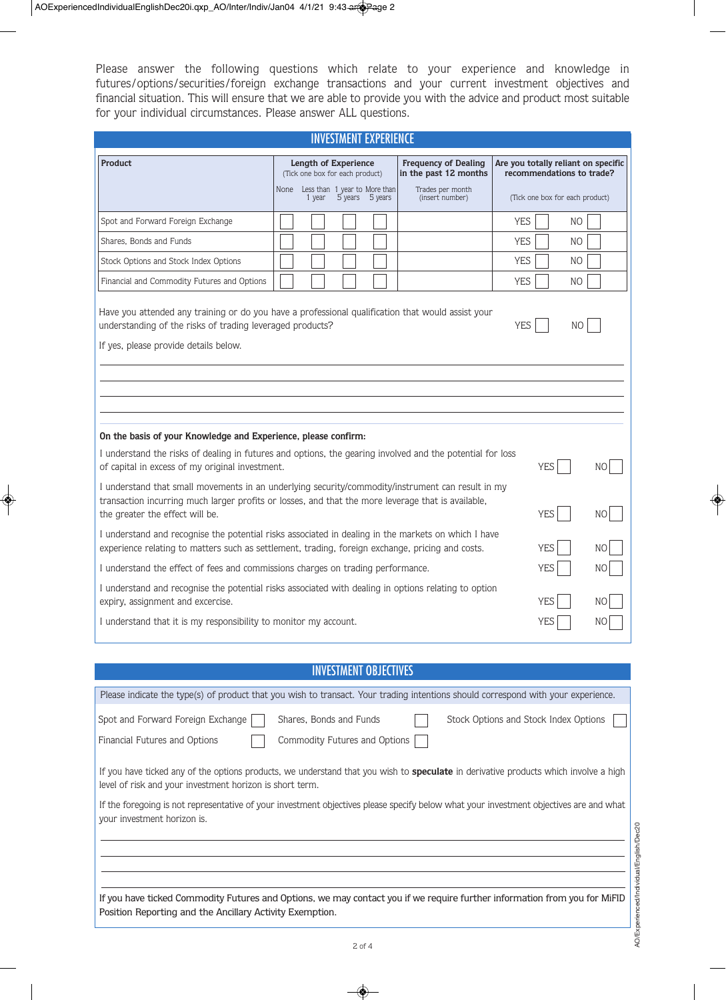Please answer the following questions which relate to your experience and knowledge in futures/options/securities/foreign exchange transactions and your current investment objectives and financial situation. This will ensure that we are able to provide you with the advice and product most suitable for your individual circumstances. Please answer ALL questions.

| <b>INVESTMENT EXPERIENCE</b>                                                                                                                                                                                                                                                                                                                                                                                                                                                                                |                                                                                                                            |                                                                                             |                                                                                                        |          |  |
|-------------------------------------------------------------------------------------------------------------------------------------------------------------------------------------------------------------------------------------------------------------------------------------------------------------------------------------------------------------------------------------------------------------------------------------------------------------------------------------------------------------|----------------------------------------------------------------------------------------------------------------------------|---------------------------------------------------------------------------------------------|--------------------------------------------------------------------------------------------------------|----------|--|
| <b>Product</b>                                                                                                                                                                                                                                                                                                                                                                                                                                                                                              | Length of Experience<br>(Tick one box for each product)<br>None Less than 1 year to More than<br>1 year<br>5 years 5 years | <b>Frequency of Dealing</b><br>in the past 12 months<br>Trades per month<br>(insert number) | Are you totally reliant on specific<br>recommendations to trade?<br>(Tick one box for each product)    |          |  |
| Spot and Forward Foreign Exchange<br>Shares, Bonds and Funds<br>Stock Options and Stock Index Options<br>Financial and Commodity Futures and Options                                                                                                                                                                                                                                                                                                                                                        |                                                                                                                            |                                                                                             | <b>YES</b><br>NO.<br><b>YES</b><br>N <sub>O</sub><br><b>YES</b><br>N <sub>O</sub><br><b>YES</b><br>NO. |          |  |
| Have you attended any training or do you have a professional qualification that would assist your<br>understanding of the risks of trading leveraged products?<br><b>YES</b><br>NO<br>If yes, please provide details below.                                                                                                                                                                                                                                                                                 |                                                                                                                            |                                                                                             |                                                                                                        |          |  |
| On the basis of your Knowledge and Experience, please confirm:<br>I understand the risks of dealing in futures and options, the gearing involved and the potential for loss<br>of capital in excess of my original investment.<br><b>YES</b><br>NО<br>I understand that small movements in an underlying security/commodity/instrument can result in my                                                                                                                                                     |                                                                                                                            |                                                                                             |                                                                                                        |          |  |
| transaction incurring much larger profits or losses, and that the more leverage that is available,<br><b>YES</b><br>the greater the effect will be.<br>N <sub>O</sub><br>I understand and recognise the potential risks associated in dealing in the markets on which I have<br><b>YES</b><br>experience relating to matters such as settlement, trading, foreign exchange, pricing and costs.<br>NΟ<br>I understand the effect of fees and commissions charges on trading performance.<br><b>YES</b><br>NΟ |                                                                                                                            |                                                                                             |                                                                                                        |          |  |
| I understand and recognise the potential risks associated with dealing in options relating to option<br>expiry, assignment and excercise.<br>I understand that it is my responsibility to monitor my account.                                                                                                                                                                                                                                                                                               |                                                                                                                            |                                                                                             | <b>YES</b><br>YES                                                                                      | NΟ<br>NС |  |

## INVESTMENT OBJECTIVES

| Please indicate the type(s) of product that you wish to transact. Your trading intentions should correspond with your experience.                                                                       |
|---------------------------------------------------------------------------------------------------------------------------------------------------------------------------------------------------------|
| Spot and Forward Foreign Exchange<br>Shares. Bonds and Funds<br>Stock Options and Stock Index Options<br>Commodity Futures and Options<br>Financial Futures and Options                                 |
| If you have ticked any of the options products, we understand that you wish to <b>speculate</b> in derivative products which involve a high<br>level of risk and your investment horizon is short term. |
| If the foregoing is not representative of your investment objectives please specify below what your investment objectives are and what<br>your investment horizon is.                                   |
|                                                                                                                                                                                                         |
| If you have ticked Commodity Futures and Options, we may contact you if we require further information from you for MiFID<br>Position Reporting and the Ancillary Activity Exemption.                   |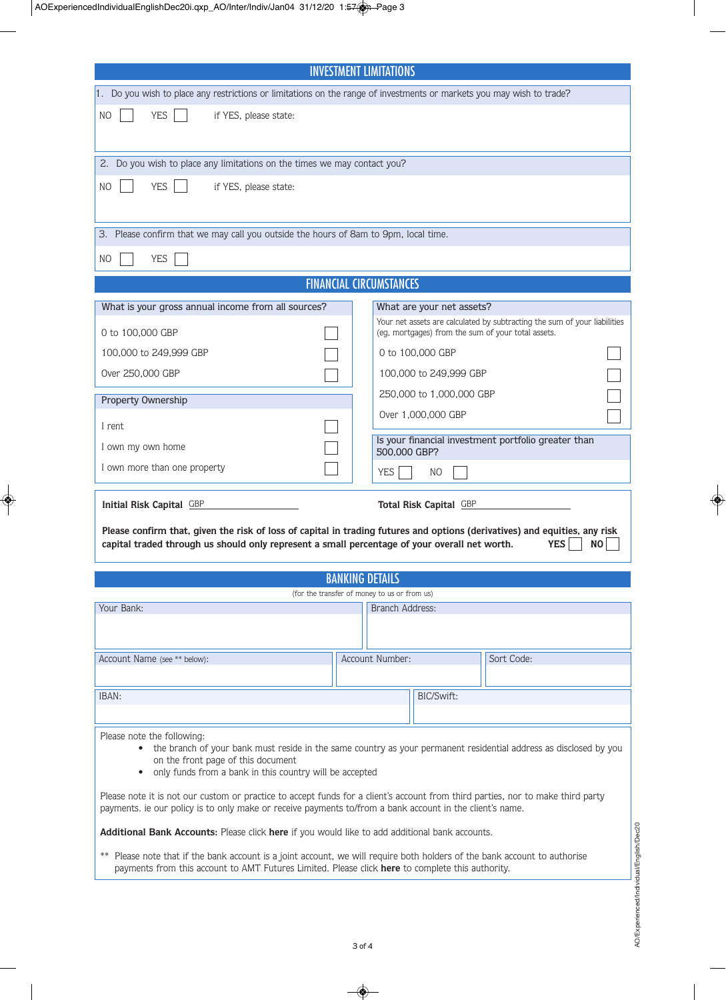| <b>INVESTMENT LIMITATIONS</b>                                                                                                                                                                                                               |                                                                                                                            |                                                                           |  |  |
|---------------------------------------------------------------------------------------------------------------------------------------------------------------------------------------------------------------------------------------------|----------------------------------------------------------------------------------------------------------------------------|---------------------------------------------------------------------------|--|--|
| 1. Do you wish to place any restrictions or limitations on the range of investments or markets you may wish to trade?                                                                                                                       |                                                                                                                            |                                                                           |  |  |
| <b>YES</b><br>N <sub>O</sub><br>if YES, please state:                                                                                                                                                                                       |                                                                                                                            |                                                                           |  |  |
|                                                                                                                                                                                                                                             |                                                                                                                            |                                                                           |  |  |
| 2. Do you wish to place any limitations on the times we may contact you?                                                                                                                                                                    |                                                                                                                            |                                                                           |  |  |
| <b>YES</b>                                                                                                                                                                                                                                  |                                                                                                                            |                                                                           |  |  |
| if YES, please state:<br>NO                                                                                                                                                                                                                 |                                                                                                                            |                                                                           |  |  |
|                                                                                                                                                                                                                                             |                                                                                                                            |                                                                           |  |  |
| 3. Please confirm that we may call you outside the hours of 8am to 9pm, local time.                                                                                                                                                         |                                                                                                                            |                                                                           |  |  |
| <b>YES</b><br>NO                                                                                                                                                                                                                            |                                                                                                                            |                                                                           |  |  |
|                                                                                                                                                                                                                                             |                                                                                                                            | <b>FINANCIAL CIRCUMSTANCES</b>                                            |  |  |
| What is your gross annual income from all sources?                                                                                                                                                                                          |                                                                                                                            | What are your net assets?                                                 |  |  |
|                                                                                                                                                                                                                                             |                                                                                                                            | Your net assets are calculated by subtracting the sum of your liabilities |  |  |
| 0 to 100,000 GBP<br>100,000 to 249,999 GBP                                                                                                                                                                                                  |                                                                                                                            | (eg, mortgages) from the sum of your total assets.                        |  |  |
| Over 250,000 GBP                                                                                                                                                                                                                            |                                                                                                                            | 0 to 100,000 GBP<br>100,000 to 249,999 GBP                                |  |  |
|                                                                                                                                                                                                                                             |                                                                                                                            | 250,000 to 1,000,000 GBP                                                  |  |  |
| Property Ownership                                                                                                                                                                                                                          |                                                                                                                            | Over 1,000,000 GBP                                                        |  |  |
| I rent                                                                                                                                                                                                                                      |                                                                                                                            |                                                                           |  |  |
| I own my own home                                                                                                                                                                                                                           |                                                                                                                            | Is your financial investment portfolio greater than<br>500,000 GBP?       |  |  |
| I own more than one property                                                                                                                                                                                                                |                                                                                                                            | <b>YES</b><br>N <sub>O</sub>                                              |  |  |
|                                                                                                                                                                                                                                             |                                                                                                                            |                                                                           |  |  |
| Initial Risk Capital GBP<br>Total Risk Capital GBP                                                                                                                                                                                          |                                                                                                                            |                                                                           |  |  |
|                                                                                                                                                                                                                                             | Please confirm that, given the risk of loss of capital in trading futures and options (derivatives) and equities, any risk |                                                                           |  |  |
| capital traded through us should only represent a small percentage of your overall net worth.                                                                                                                                               |                                                                                                                            | <b>YES</b><br><b>NO</b>                                                   |  |  |
| <b>BANKING DETAILS</b>                                                                                                                                                                                                                      |                                                                                                                            |                                                                           |  |  |
|                                                                                                                                                                                                                                             |                                                                                                                            | (for the transfer of money to us or from us)                              |  |  |
| Your Bank:                                                                                                                                                                                                                                  |                                                                                                                            | Branch Address:                                                           |  |  |
|                                                                                                                                                                                                                                             |                                                                                                                            |                                                                           |  |  |
| Account Name (see ** below):                                                                                                                                                                                                                |                                                                                                                            | Account Number:<br>Sort Code:                                             |  |  |
|                                                                                                                                                                                                                                             |                                                                                                                            |                                                                           |  |  |
| IBAN:                                                                                                                                                                                                                                       |                                                                                                                            | BIC/Swift:                                                                |  |  |
|                                                                                                                                                                                                                                             |                                                                                                                            |                                                                           |  |  |
| Please note the following:<br>• the branch of your bank must reside in the same country as your permanent residential address as disclosed by you                                                                                           |                                                                                                                            |                                                                           |  |  |
| on the front page of this document                                                                                                                                                                                                          |                                                                                                                            |                                                                           |  |  |
| only funds from a bank in this country will be accepted<br>$\bullet$                                                                                                                                                                        |                                                                                                                            |                                                                           |  |  |
| Please note it is not our custom or practice to accept funds for a client's account from third parties, nor to make third party<br>payments. ie our policy is to only make or receive payments to/from a bank account in the client's name. |                                                                                                                            |                                                                           |  |  |
| Additional Bank Accounts: Please click here if you would like to add additional bank accounts.                                                                                                                                              |                                                                                                                            |                                                                           |  |  |
| **                                                                                                                                                                                                                                          |                                                                                                                            |                                                                           |  |  |
| Please note that if the bank account is a joint account, we will require both holders of the bank account to authorise<br>payments from this account to AMT Futures Limited. Please click here to complete this authority.                  |                                                                                                                            |                                                                           |  |  |
|                                                                                                                                                                                                                                             |                                                                                                                            |                                                                           |  |  |
|                                                                                                                                                                                                                                             |                                                                                                                            |                                                                           |  |  |

AO/Experienced/Individual/English/Dec20 AO/Experienced/Individual/English/Dec20